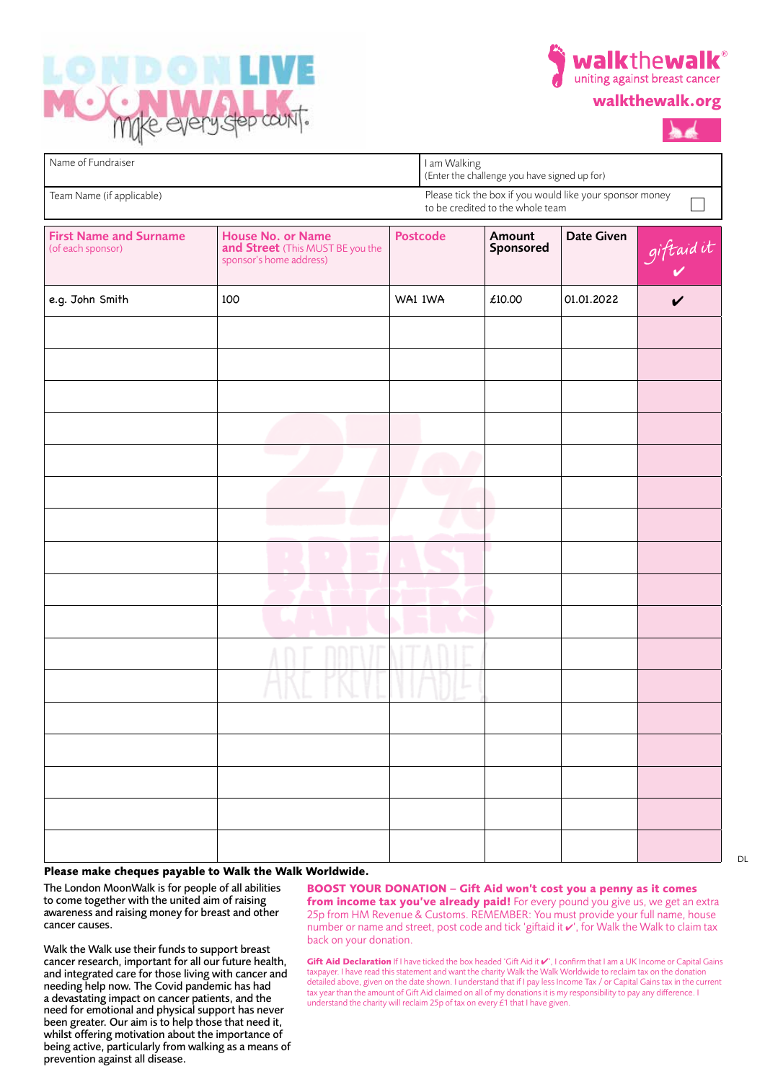



| walkthewalk.org |  |  |  |  |  |  |
|-----------------|--|--|--|--|--|--|
|-----------------|--|--|--|--|--|--|



| Name of Fundraiser                                 |                                                                                                |  | I am Walking<br>(Enter the challenge you have signed up for) |                                  |                                                          |            |  |
|----------------------------------------------------|------------------------------------------------------------------------------------------------|--|--------------------------------------------------------------|----------------------------------|----------------------------------------------------------|------------|--|
| Team Name (if applicable)                          |                                                                                                |  |                                                              | to be credited to the whole team | Please tick the box if you would like your sponsor money |            |  |
| <b>First Name and Surname</b><br>(of each sponsor) | <b>House No. or Name</b><br>and Street (This MUST BE you the<br>sponsor's home address)<br>100 |  | <b>Postcode</b>                                              | Amount<br>Sponsored<br>£10.00    | Date Given<br>01.01.2022                                 | giftaid it |  |
| e.g. John Smith                                    |                                                                                                |  | WA1 IWA                                                      |                                  |                                                          | ✓          |  |
|                                                    |                                                                                                |  |                                                              |                                  |                                                          |            |  |
|                                                    |                                                                                                |  |                                                              |                                  |                                                          |            |  |
|                                                    |                                                                                                |  |                                                              |                                  |                                                          |            |  |
|                                                    |                                                                                                |  |                                                              |                                  |                                                          |            |  |
|                                                    |                                                                                                |  |                                                              |                                  |                                                          |            |  |
|                                                    |                                                                                                |  |                                                              |                                  |                                                          |            |  |
|                                                    |                                                                                                |  |                                                              |                                  |                                                          |            |  |
|                                                    |                                                                                                |  |                                                              |                                  |                                                          |            |  |
|                                                    |                                                                                                |  |                                                              |                                  |                                                          |            |  |
|                                                    |                                                                                                |  |                                                              |                                  |                                                          |            |  |
|                                                    |                                                                                                |  |                                                              |                                  |                                                          |            |  |
|                                                    |                                                                                                |  |                                                              |                                  |                                                          |            |  |
|                                                    |                                                                                                |  |                                                              |                                  |                                                          |            |  |
|                                                    |                                                                                                |  |                                                              |                                  |                                                          |            |  |
|                                                    |                                                                                                |  |                                                              |                                  |                                                          |            |  |
|                                                    |                                                                                                |  |                                                              |                                  |                                                          |            |  |
|                                                    |                                                                                                |  |                                                              |                                  |                                                          |            |  |

## **Please make cheques payable to Walk the Walk Worldwide.**

The London MoonWalk is for people of all abilities to come together with the united aim of raising awareness and raising money for breast and other cancer causes.

Walk the Walk use their funds to support breast cancer research, important for all our future health, and integrated care for those living with cancer and needing help now. The Covid pandemic has had a devastating impact on cancer patients, and the need for emotional and physical support has never been greater. Our aim is to help those that need it, whilst offering motivation about the importance of being active, particularly from walking as a means of prevention against all disease.

**BOOST YOUR DONATION – Gift Aid won't cost you a penny as it comes from income tax you've already paid!** For every pound you give us, we get an extra 25p from HM Revenue & Customs. REMEMBER: You must provide your full name, house number or name and street, post code and tick 'giftaid it  $\mathbf{v}'$ , for Walk the Walk to claim tax back on your donation.

**Gift Aid Declaration** If I have ticked the box headed 'Gift Aid it  $V'$ , I confirm that I am a UK Income or Capital Gains taxpayer. I have read this statement and want the charity Walk the Walk Worldwide to reclaim tax on the donation detailed above, given on the date shown. I understand that if I pay less Income Tax / or Capital Gains tax in the current tax year than the amount of Gift Aid claimed on all of my donations it is my responsibility to pay any difference. I understand the charity will reclaim 25p of tax on every  $\acute{t}$ 1 that I have given.